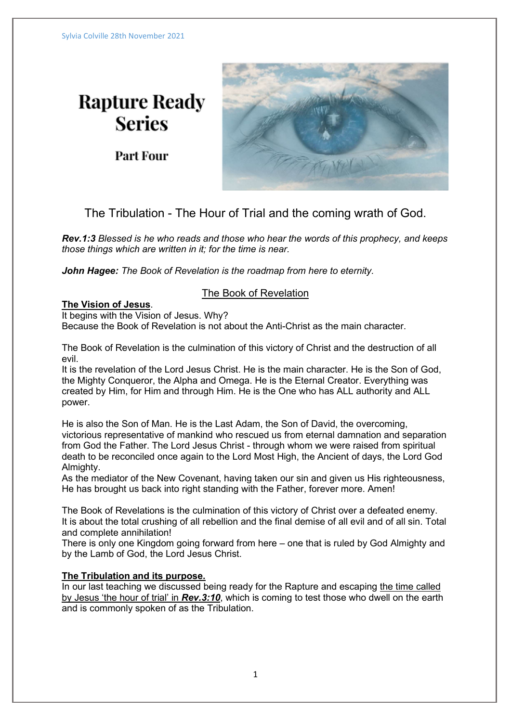# **Rapture Ready Series**

**Part Four** 



The Tribulation - The Hour of Trial and the coming wrath of God.

Rev.1:3 Blessed is he who reads and those who hear the words of this prophecy, and keeps those things which are written in it; for the time is near.

John Hagee: The Book of Revelation is the roadmap from here to eternity.

# The Book of Revelation

# The Vision of Jesus.

It begins with the Vision of Jesus. Why?

Because the Book of Revelation is not about the Anti-Christ as the main character.

The Book of Revelation is the culmination of this victory of Christ and the destruction of all evil.

It is the revelation of the Lord Jesus Christ. He is the main character. He is the Son of God, the Mighty Conqueror, the Alpha and Omega. He is the Eternal Creator. Everything was created by Him, for Him and through Him. He is the One who has ALL authority and ALL power.

He is also the Son of Man. He is the Last Adam, the Son of David, the overcoming, victorious representative of mankind who rescued us from eternal damnation and separation from God the Father. The Lord Jesus Christ - through whom we were raised from spiritual death to be reconciled once again to the Lord Most High, the Ancient of days, the Lord God Almighty.

As the mediator of the New Covenant, having taken our sin and given us His righteousness, He has brought us back into right standing with the Father, forever more. Amen!

The Book of Revelations is the culmination of this victory of Christ over a defeated enemy. It is about the total crushing of all rebellion and the final demise of all evil and of all sin. Total and complete annihilation!

There is only one Kingdom going forward from here – one that is ruled by God Almighty and by the Lamb of God, the Lord Jesus Christ.

# The Tribulation and its purpose.

In our last teaching we discussed being ready for the Rapture and escaping the time called by Jesus 'the hour of trial' in Rev.3:10, which is coming to test those who dwell on the earth and is commonly spoken of as the Tribulation.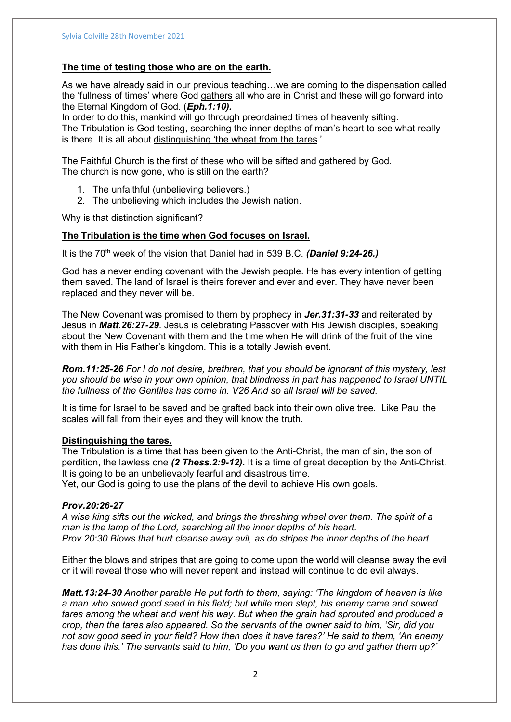## The time of testing those who are on the earth.

As we have already said in our previous teaching…we are coming to the dispensation called the 'fullness of times' where God gathers all who are in Christ and these will go forward into the Eternal Kingdom of God. (Eph.1:10).

In order to do this, mankind will go through preordained times of heavenly sifting. The Tribulation is God testing, searching the inner depths of man's heart to see what really is there. It is all about distinguishing 'the wheat from the tares.'

The Faithful Church is the first of these who will be sifted and gathered by God. The church is now gone, who is still on the earth?

- 1. The unfaithful (unbelieving believers.)
- 2. The unbelieving which includes the Jewish nation.

Why is that distinction significant?

### The Tribulation is the time when God focuses on Israel.

It is the 70<sup>th</sup> week of the vision that Daniel had in 539 B.C. (Daniel 9:24-26.)

God has a never ending covenant with the Jewish people. He has every intention of getting them saved. The land of Israel is theirs forever and ever and ever. They have never been replaced and they never will be.

The New Covenant was promised to them by prophecy in Jer. 31:31-33 and reiterated by Jesus in Matt.26:27-29. Jesus is celebrating Passover with His Jewish disciples, speaking about the New Covenant with them and the time when He will drink of the fruit of the vine with them in His Father's kingdom. This is a totally Jewish event.

Rom.11:25-26 For I do not desire, brethren, that you should be ignorant of this mystery, lest you should be wise in your own opinion, that blindness in part has happened to Israel UNTIL the fullness of the Gentiles has come in. V26 And so all Israel will be saved.

It is time for Israel to be saved and be grafted back into their own olive tree. Like Paul the scales will fall from their eyes and they will know the truth.

#### Distinguishing the tares.

The Tribulation is a time that has been given to the Anti-Christ, the man of sin, the son of perdition, the lawless one (2 Thess. 2:9-12). It is a time of great deception by the Anti-Christ. It is going to be an unbelievably fearful and disastrous time.

Yet, our God is going to use the plans of the devil to achieve His own goals.

## Prov.20:26-27

A wise king sifts out the wicked, and brings the threshing wheel over them. The spirit of a man is the lamp of the Lord, searching all the inner depths of his heart. Prov.20:30 Blows that hurt cleanse away evil, as do stripes the inner depths of the heart.

Either the blows and stripes that are going to come upon the world will cleanse away the evil or it will reveal those who will never repent and instead will continue to do evil always.

Matt.13:24-30 Another parable He put forth to them, saying: 'The kingdom of heaven is like a man who sowed good seed in his field; but while men slept, his enemy came and sowed tares among the wheat and went his way. But when the grain had sprouted and produced a crop, then the tares also appeared. So the servants of the owner said to him, 'Sir, did you not sow good seed in your field? How then does it have tares?' He said to them, 'An enemy has done this.' The servants said to him, 'Do you want us then to go and gather them up?'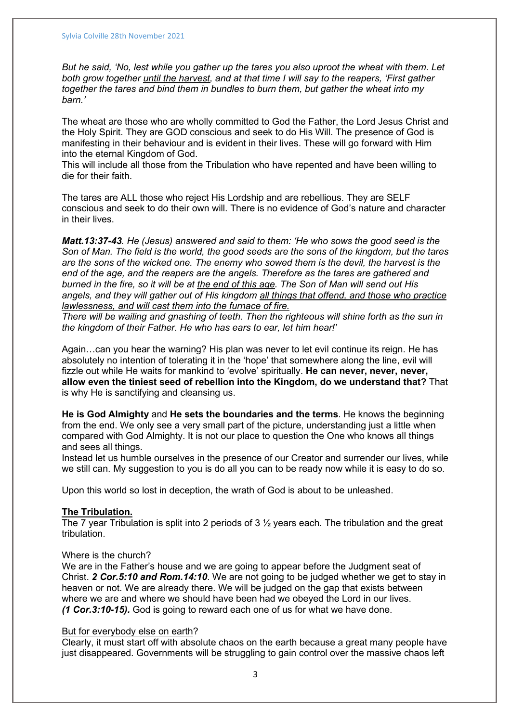But he said, 'No, lest while you gather up the tares you also uproot the wheat with them. Let both grow together *until the harvest*, and at that time I will say to the reapers, 'First gather together the tares and bind them in bundles to burn them, but gather the wheat into my barn.'

The wheat are those who are wholly committed to God the Father, the Lord Jesus Christ and the Holy Spirit. They are GOD conscious and seek to do His Will. The presence of God is manifesting in their behaviour and is evident in their lives. These will go forward with Him into the eternal Kingdom of God.

This will include all those from the Tribulation who have repented and have been willing to die for their faith.

The tares are ALL those who reject His Lordship and are rebellious. They are SELF conscious and seek to do their own will. There is no evidence of God's nature and character in their lives.

Matt.13:37-43. He (Jesus) answered and said to them: 'He who sows the good seed is the Son of Man. The field is the world, the good seeds are the sons of the kingdom, but the tares are the sons of the wicked one. The enemy who sowed them is the devil, the harvest is the end of the age, and the reapers are the angels. Therefore as the tares are gathered and burned in the fire, so it will be at the end of this age. The Son of Man will send out His angels, and they will gather out of His kingdom all things that offend, and those who practice lawlessness, and will cast them into the furnace of fire.

There will be wailing and gnashing of teeth. Then the righteous will shine forth as the sun in the kingdom of their Father. He who has ears to ear, let him hear!'

Again…can you hear the warning? His plan was never to let evil continue its reign. He has absolutely no intention of tolerating it in the 'hope' that somewhere along the line, evil will fizzle out while He waits for mankind to 'evolve' spiritually. He can never, never, never, allow even the tiniest seed of rebellion into the Kingdom, do we understand that? That is why He is sanctifying and cleansing us.

He is God Almighty and He sets the boundaries and the terms. He knows the beginning from the end. We only see a very small part of the picture, understanding just a little when compared with God Almighty. It is not our place to question the One who knows all things and sees all things.

Instead let us humble ourselves in the presence of our Creator and surrender our lives, while we still can. My suggestion to you is do all you can to be ready now while it is easy to do so.

Upon this world so lost in deception, the wrath of God is about to be unleashed.

#### The Tribulation.

The 7 year Tribulation is split into 2 periods of  $3\frac{1}{2}$  years each. The tribulation and the great tribulation.

#### Where is the church?

We are in the Father's house and we are going to appear before the Judgment seat of Christ. 2 Cor.5:10 and Rom.14:10. We are not going to be judged whether we get to stay in heaven or not. We are already there. We will be judged on the gap that exists between where we are and where we should have been had we obeyed the Lord in our lives. (1 Cor.3:10-15). God is going to reward each one of us for what we have done.

## But for everybody else on earth?

Clearly, it must start off with absolute chaos on the earth because a great many people have just disappeared. Governments will be struggling to gain control over the massive chaos left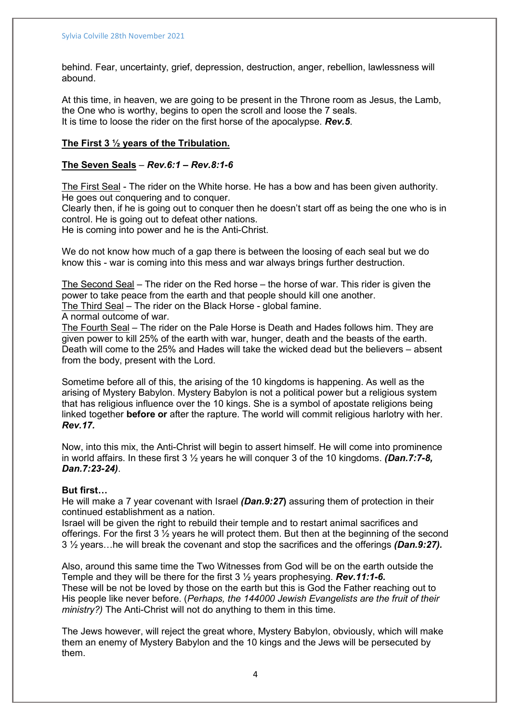behind. Fear, uncertainty, grief, depression, destruction, anger, rebellion, lawlessness will abound.

At this time, in heaven, we are going to be present in the Throne room as Jesus, the Lamb, the One who is worthy, begins to open the scroll and loose the 7 seals. It is time to loose the rider on the first horse of the apocalypse. **Rev.5.** 

# The First 3 ½ years of the Tribulation.

## The Seven Seals -  $Rev.6:1 - Rev.8:1-6$

The First Seal - The rider on the White horse. He has a bow and has been given authority. He goes out conquering and to conquer.

Clearly then, if he is going out to conquer then he doesn't start off as being the one who is in control. He is going out to defeat other nations.

He is coming into power and he is the Anti-Christ.

We do not know how much of a gap there is between the loosing of each seal but we do know this - war is coming into this mess and war always brings further destruction.

The Second Seal – The rider on the Red horse – the horse of war. This rider is given the power to take peace from the earth and that people should kill one another. The Third Seal – The rider on the Black Horse - global famine.

A normal outcome of war.

The Fourth Seal – The rider on the Pale Horse is Death and Hades follows him. They are given power to kill 25% of the earth with war, hunger, death and the beasts of the earth. Death will come to the 25% and Hades will take the wicked dead but the believers – absent from the body, present with the Lord.

Sometime before all of this, the arising of the 10 kingdoms is happening. As well as the arising of Mystery Babylon. Mystery Babylon is not a political power but a religious system that has religious influence over the 10 kings. She is a symbol of apostate religions being linked together **before or** after the rapture. The world will commit religious harlotry with her. Rev.17.

Now, into this mix, the Anti-Christ will begin to assert himself. He will come into prominence in world affairs. In these first  $3\frac{1}{2}$  years he will conquer 3 of the 10 kingdoms. (Dan.7:7-8, Dan.7:23-24).

## But first…

He will make a 7 year covenant with Israel (Dan.9:27) assuring them of protection in their continued establishment as a nation.

Israel will be given the right to rebuild their temple and to restart animal sacrifices and offerings. For the first 3  $\frac{1}{2}$  years he will protect them. But then at the beginning of the second  $3\frac{1}{2}$  years...he will break the covenant and stop the sacrifices and the offerings (Dan.9:27).

Also, around this same time the Two Witnesses from God will be on the earth outside the Temple and they will be there for the first  $3\frac{1}{2}$  years prophesying. **Rev.11:1-6.** These will be not be loved by those on the earth but this is God the Father reaching out to His people like never before. (Perhaps, the 144000 Jewish Evangelists are the fruit of their ministry?) The Anti-Christ will not do anything to them in this time.

The Jews however, will reject the great whore, Mystery Babylon, obviously, which will make them an enemy of Mystery Babylon and the 10 kings and the Jews will be persecuted by them.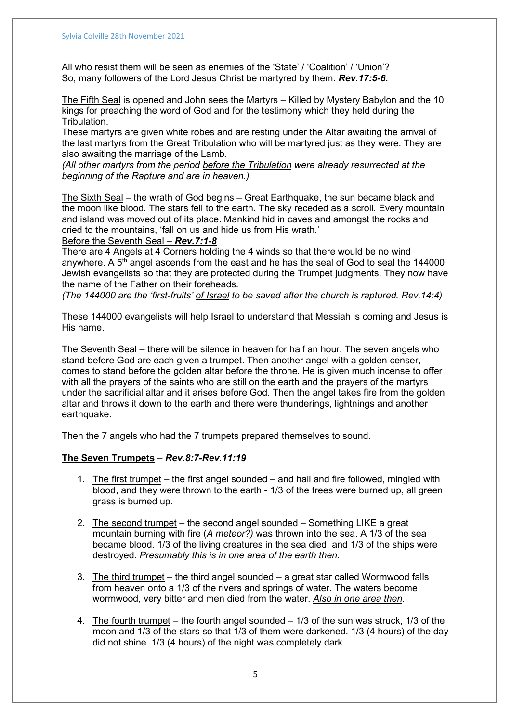All who resist them will be seen as enemies of the 'State' / 'Coalition' / 'Union'? So, many followers of the Lord Jesus Christ be martyred by them. **Rev.17:5-6.** 

The Fifth Seal is opened and John sees the Martyrs – Killed by Mystery Babylon and the 10 kings for preaching the word of God and for the testimony which they held during the Tribulation.

These martyrs are given white robes and are resting under the Altar awaiting the arrival of the last martyrs from the Great Tribulation who will be martyred just as they were. They are also awaiting the marriage of the Lamb.

(All other martyrs from the period before the Tribulation were already resurrected at the beginning of the Rapture and are in heaven.)

The Sixth Seal – the wrath of God begins – Great Earthquake, the sun became black and the moon like blood. The stars fell to the earth. The sky receded as a scroll. Every mountain and island was moved out of its place. Mankind hid in caves and amongst the rocks and cried to the mountains, 'fall on us and hide us from His wrath.'

Before the Seventh Seal – Rev. 7:1-8

There are 4 Angels at 4 Corners holding the 4 winds so that there would be no wind anywhere. A  $5<sup>th</sup>$  angel ascends from the east and he has the seal of God to seal the 144000 Jewish evangelists so that they are protected during the Trumpet judgments. They now have the name of the Father on their foreheads.

(The 144000 are the 'first-fruits' of Israel to be saved after the church is raptured. Rev.14:4)

These 144000 evangelists will help Israel to understand that Messiah is coming and Jesus is His name.

The Seventh Seal – there will be silence in heaven for half an hour. The seven angels who stand before God are each given a trumpet. Then another angel with a golden censer, comes to stand before the golden altar before the throne. He is given much incense to offer with all the prayers of the saints who are still on the earth and the prayers of the martyrs under the sacrificial altar and it arises before God. Then the angel takes fire from the golden altar and throws it down to the earth and there were thunderings, lightnings and another earthquake.

Then the 7 angels who had the 7 trumpets prepared themselves to sound.

## The Seven Trumpets – Rev.8:7-Rev.11:19

- 1. The first trumpet the first angel sounded and hail and fire followed, mingled with blood, and they were thrown to the earth - 1/3 of the trees were burned up, all green grass is burned up.
- 2. The second trumpet the second angel sounded Something LIKE a great mountain burning with fire (A meteor?) was thrown into the sea. A 1/3 of the sea became blood. 1/3 of the living creatures in the sea died, and 1/3 of the ships were destroyed. Presumably this is in one area of the earth then.
- 3. The third trumpet the third angel sounded a great star called Wormwood falls from heaven onto a 1/3 of the rivers and springs of water. The waters become wormwood, very bitter and men died from the water. Also in one area then.
- 4. The fourth trumpet the fourth angel sounded 1/3 of the sun was struck, 1/3 of the moon and 1/3 of the stars so that 1/3 of them were darkened. 1/3 (4 hours) of the day did not shine. 1/3 (4 hours) of the night was completely dark.